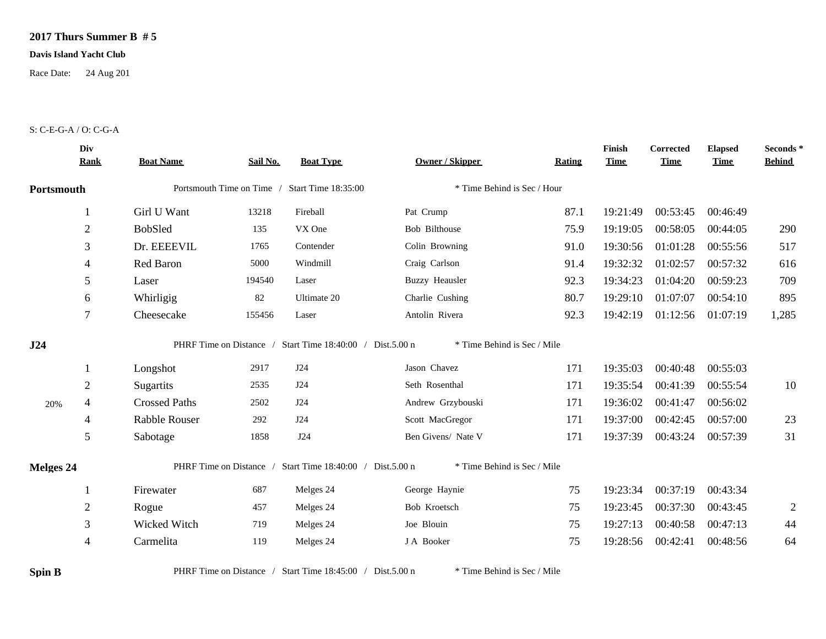## **2017 Thurs Summer B # 5**

## **Davis Island Yacht Club**

Race Date: 24 Aug 201

## S: C-E-G-A / O: C-G-A

|                  | Div<br><b>Rank</b> | <b>Boat Name</b>                              | Sail No. | <b>Boat Type</b>                                          | <b>Owner / Skipper</b>      | Rating | Finish<br><b>Time</b> | Corrected<br><b>Time</b> | <b>Elapsed</b><br><b>Time</b> | Seconds*<br><b>Behind</b> |
|------------------|--------------------|-----------------------------------------------|----------|-----------------------------------------------------------|-----------------------------|--------|-----------------------|--------------------------|-------------------------------|---------------------------|
| Portsmouth       |                    | Portsmouth Time on Time / Start Time 18:35:00 |          |                                                           | * Time Behind is Sec / Hour |        |                       |                          |                               |                           |
|                  |                    | Girl U Want                                   | 13218    | Fireball                                                  | Pat Crump                   | 87.1   | 19:21:49              | 00:53:45                 | 00:46:49                      |                           |
|                  | $\overline{2}$     | <b>BobSled</b>                                | 135      | VX One                                                    | Bob Bilthouse               | 75.9   | 19:19:05              | 00:58:05                 | 00:44:05                      | 290                       |
|                  | 3                  | Dr. EEEEVIL                                   | 1765     | Contender                                                 | Colin Browning              | 91.0   | 19:30:56              | 01:01:28                 | 00:55:56                      | 517                       |
|                  | 4                  | Red Baron                                     | 5000     | Windmill                                                  | Craig Carlson               | 91.4   | 19:32:32              | 01:02:57                 | 00:57:32                      | 616                       |
|                  | 5                  | Laser                                         | 194540   | Laser                                                     | <b>Buzzy Heausler</b>       | 92.3   | 19:34:23              | 01:04:20                 | 00:59:23                      | 709                       |
|                  | 6                  | Whirligig                                     | 82       | Ultimate 20                                               | Charlie Cushing             | 80.7   | 19:29:10              | 01:07:07                 | 00:54:10                      | 895                       |
|                  | 7                  | Cheesecake                                    | 155456   | Laser                                                     | Antolin Rivera              | 92.3   | 19:42:19              | 01:12:56                 | 01:07:19                      | 1,285                     |
|                  |                    |                                               |          |                                                           |                             |        |                       |                          |                               |                           |
| J24              |                    |                                               |          | PHRF Time on Distance / Start Time 18:40:00 / Dist.5.00 n | * Time Behind is Sec / Mile |        |                       |                          |                               |                           |
|                  |                    | Longshot                                      | 2917     | J24                                                       | Jason Chavez                | 171    | 19:35:03              | 00:40:48                 | 00:55:03                      |                           |
|                  | $\overline{2}$     | Sugartits                                     | 2535     | J24                                                       | Seth Rosenthal              | 171    | 19:35:54              | 00:41:39                 | 00:55:54                      | 10                        |
| 20%              | 4                  | <b>Crossed Paths</b>                          | 2502     | J24                                                       | Andrew Grzybouski           | 171    | 19:36:02              | 00:41:47                 | 00:56:02                      |                           |
|                  | $\overline{4}$     | Rabble Rouser                                 | 292      | J24                                                       | Scott MacGregor             | 171    | 19:37:00              | 00:42:45                 | 00:57:00                      | 23                        |
|                  | 5                  | Sabotage                                      | 1858     | J24                                                       | Ben Givens/ Nate V          | 171    | 19:37:39              | 00:43:24                 | 00:57:39                      | 31                        |
|                  |                    |                                               |          | PHRF Time on Distance / Start Time 18:40:00 / Dist.5.00 n | * Time Behind is Sec / Mile |        |                       |                          |                               |                           |
| <b>Melges 24</b> |                    | Firewater                                     | 687      | Melges 24                                                 | George Haynie               | 75     | 19:23:34              | 00:37:19                 | 00:43:34                      |                           |
|                  | $\overline{2}$     | Rogue                                         | 457      | Melges 24                                                 | Bob Kroetsch                | 75     | 19:23:45              | 00:37:30                 | 00:43:45                      | $\overline{2}$            |
|                  | 3                  | Wicked Witch                                  | 719      | Melges 24                                                 | Joe Blouin                  | 75     | 19:27:13              | 00:40:58                 | 00:47:13                      | 44                        |

**Spin B** PHRF Time on Distance / Start Time 18:45:00 / Dist.5.00 n \* Time Behind is Sec / Mile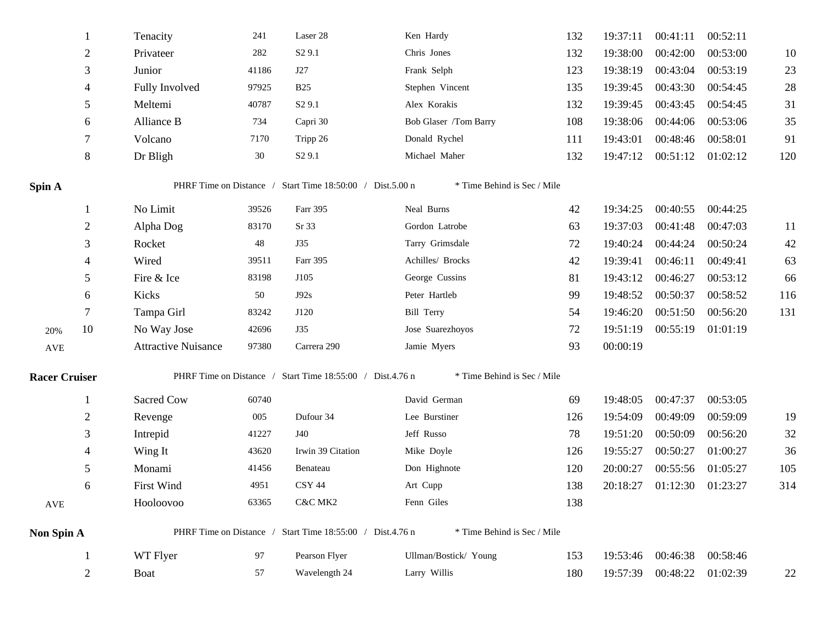|                      | 1              | Tenacity                   | 241   | Laser 28                                                  | Ken Hardy                   | 132 | 19:37:11 | 00:41:11          | 00:52:11 |        |
|----------------------|----------------|----------------------------|-------|-----------------------------------------------------------|-----------------------------|-----|----------|-------------------|----------|--------|
|                      | $\overline{2}$ | Privateer                  | 282   | S <sub>2</sub> 9.1                                        | Chris Jones                 | 132 | 19:38:00 | 00:42:00          | 00:53:00 | 10     |
|                      | 3              | Junior                     | 41186 | J27                                                       | Frank Selph                 | 123 | 19:38:19 | 00:43:04          | 00:53:19 | 23     |
|                      | 4              | Fully Involved             | 97925 | <b>B25</b>                                                | Stephen Vincent             | 135 | 19:39:45 | 00:43:30          | 00:54:45 | $28\,$ |
|                      | 5              | Meltemi                    | 40787 | S <sub>2</sub> 9.1                                        | Alex Korakis                | 132 | 19:39:45 | 00:43:45          | 00:54:45 | 31     |
|                      | 6              | Alliance B                 | 734   | Capri 30                                                  | Bob Glaser /Tom Barry       | 108 | 19:38:06 | 00:44:06          | 00:53:06 | 35     |
|                      | 7              | Volcano                    | 7170  | Tripp 26                                                  | Donald Rychel               | 111 | 19:43:01 | 00:48:46          | 00:58:01 | 91     |
|                      | 8              | Dr Bligh                   | 30    | S <sub>2</sub> 9.1                                        | Michael Maher               | 132 | 19:47:12 | 00:51:12          | 01:02:12 | 120    |
| Spin A               |                |                            |       | PHRF Time on Distance / Start Time 18:50:00 / Dist.5.00 n | * Time Behind is Sec / Mile |     |          |                   |          |        |
|                      | -1             | No Limit                   | 39526 | Farr 395                                                  | Neal Burns                  | 42  | 19:34:25 | 00:40:55          | 00:44:25 |        |
|                      | $\overline{2}$ | Alpha Dog                  | 83170 | Sr 33                                                     | Gordon Latrobe              | 63  | 19:37:03 | 00:41:48          | 00:47:03 | 11     |
|                      | 3              | Rocket                     | 48    | <b>J35</b>                                                | Tarry Grimsdale             | 72  | 19:40:24 | 00:44:24          | 00:50:24 | 42     |
|                      | 4              | Wired                      | 39511 | Farr 395                                                  | Achilles/ Brocks            | 42  | 19:39:41 | 00:46:11          | 00:49:41 | 63     |
|                      | 5              | Fire & Ice                 | 83198 | J105                                                      | George Cussins              | 81  | 19:43:12 | 00:46:27          | 00:53:12 | 66     |
|                      | 6              | Kicks                      | 50    | J92s                                                      | Peter Hartleb               | 99  | 19:48:52 | 00:50:37          | 00:58:52 | 116    |
|                      | 7              | Tampa Girl                 | 83242 | J120                                                      | Bill Terry                  | 54  | 19:46:20 | 00:51:50          | 00:56:20 | 131    |
| 20%                  | 10             | No Way Jose                | 42696 | <b>J35</b>                                                | Jose Suarezhoyos            | 72  | 19:51:19 | 00:55:19          | 01:01:19 |        |
| $\operatorname{AVE}$ |                | <b>Attractive Nuisance</b> | 97380 | Carrera 290                                               | Jamie Myers                 | 93  | 00:00:19 |                   |          |        |
| <b>Racer Cruiser</b> |                |                            |       | PHRF Time on Distance / Start Time 18:55:00 / Dist.4.76 n | * Time Behind is Sec / Mile |     |          |                   |          |        |
|                      | 1              | Sacred Cow                 | 60740 |                                                           | David German                | 69  | 19:48:05 | 00:47:37          | 00:53:05 |        |
|                      | $\overline{2}$ | Revenge                    | 005   | Dufour 34                                                 | Lee Burstiner               | 126 | 19:54:09 | 00:49:09          | 00:59:09 | 19     |
|                      | 3              | Intrepid                   | 41227 | J40                                                       | Jeff Russo                  | 78  | 19:51:20 | 00:50:09          | 00:56:20 | $32\,$ |
|                      | 4              | Wing It                    | 43620 | Irwin 39 Citation                                         | Mike Doyle                  | 126 | 19:55:27 | 00:50:27          | 01:00:27 | 36     |
|                      | 5              | Monami                     | 41456 | Benateau                                                  | Don Highnote                | 120 | 20:00:27 | 00:55:56          | 01:05:27 | 105    |
|                      | 6              | First Wind                 | 4951  | CSY 44                                                    | Art Cupp                    | 138 | 20:18:27 | 01:12:30          | 01:23:27 | 314    |
| $\operatorname{AVE}$ |                | Hooloovoo                  | 63365 | C&C MK2                                                   | Fenn Giles                  | 138 |          |                   |          |        |
| Non Spin A           |                |                            |       | PHRF Time on Distance / Start Time 18:55:00 / Dist.4.76 n | * Time Behind is Sec / Mile |     |          |                   |          |        |
|                      |                | WT Flyer                   | 97    | Pearson Flyer                                             | Ullman/Bostick/ Young       | 153 | 19:53:46 | 00:46:38          | 00:58:46 |        |
|                      | $\overline{2}$ | Boat                       | 57    | Wavelength 24                                             | Larry Willis                | 180 | 19:57:39 | 00:48:22 01:02:39 |          | 22     |
|                      |                |                            |       |                                                           |                             |     |          |                   |          |        |